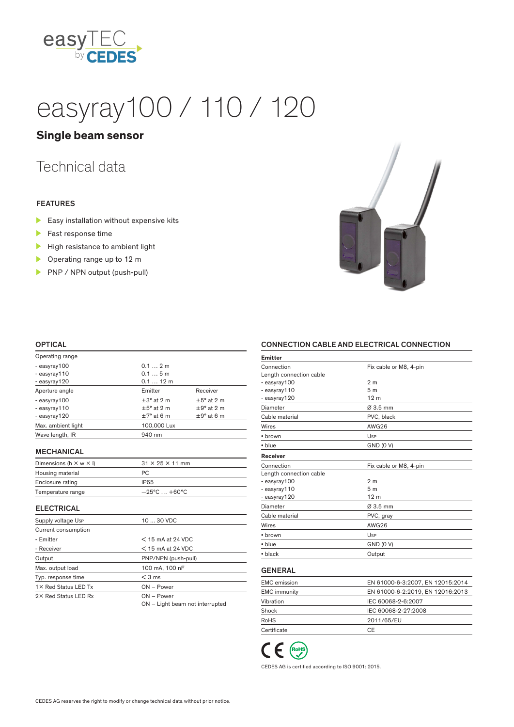

# easyray100 / 110 / 120

### **Single beam sensor**

## Technical data

#### FEATURES

- $\blacktriangleright$  Easy installation without expensive kits
- Fast response time
- $\blacktriangleright$  High resistance to ambient light
- ▶ Operating range up to 12 m
- PNP / NPN output (push-pull)



#### **OPTICAL**

| Operating range    |                        |                        |
|--------------------|------------------------|------------------------|
| - easyray100       | 0.12m                  |                        |
| - easyray110       | 0.15m                  |                        |
| - easyray120       | $0.112$ m              |                        |
| Aperture angle     | Emitter                | Receiver               |
| - easyray100       | $\pm 3^{\circ}$ at 2 m | $\pm 5^{\circ}$ at 2 m |
| - easyray110       | $\pm 5^{\circ}$ at 2 m | $\pm$ 9° at 2 m        |
| - easyray120       | $\pm 7^{\circ}$ at 6 m | $\pm$ 9° at 6 m        |
| Max. ambient light | 100,000 Lux            |                        |
| Wave length, IR    | 940 nm                 |                        |
|                    |                        |                        |

#### MECHANICAL

| Dimensions (h $\times w \times$ I) | $31 \times 25 \times 11$ mm       |
|------------------------------------|-----------------------------------|
| Housing material                   | PC.                               |
| Enclosure rating                   | IP65                              |
| Temperature range                  | $-25^{\circ}$ C $ + 60^{\circ}$ C |

#### ELECTRICAL

| Supply voltage Usp   | 10  30 VDC                      |
|----------------------|---------------------------------|
| Current consumption  |                                 |
| - Emitter            | $<$ 15 mA at 24 VDC             |
| - Receiver           | $<$ 15 mA at 24 VDC             |
| Output               | PNP/NPN (push-pull)             |
| Max. output load     | 100 mA, 100 nF                  |
| Typ. response time   | $<$ 3 ms                        |
| 1X Red Status LED Tx | $ON - Power$                    |
| 2× Red Status LED Rx | $ON - Power$                    |
|                      | ON - Light beam not interrupted |

#### CONNECTION CABLE AND ELECTRICAL CONNECTION

| Emitter                 |                                  |
|-------------------------|----------------------------------|
| Connection              | Fix cable or M8, 4-pin           |
| Length connection cable |                                  |
| - easyray100            | 2 <sub>m</sub>                   |
| - easyray110            | 5 <sub>m</sub>                   |
| - easyray120            | 12 <sub>m</sub>                  |
| Diameter                | $Ø3.5$ mm                        |
| Cable material          | PVC, black                       |
| Wires                   | <b>AWG26</b>                     |
| • brown                 | Usp                              |
| • blue                  | <b>GND (0 V)</b>                 |
| <b>Receiver</b>         |                                  |
| Connection              | Fix cable or M8, 4-pin           |
| Length connection cable |                                  |
| - easyray100            | 2 <sub>m</sub>                   |
| - easyray110            | 5 <sub>m</sub>                   |
| - easyray120            | 12 <sub>m</sub>                  |
| Diameter                | Ø 3.5 mm                         |
| Cable material          | PVC, gray                        |
| Wires                   | <b>AWG26</b>                     |
| • brown                 | Usp                              |
| • blue                  | <b>GND (0 V)</b>                 |
| $\bullet$ black         | Output                           |
| <b>GENERAL</b>          |                                  |
| <b>EMC</b> emission     | EN 61000-6-3:2007, EN 12015:2014 |
|                         |                                  |

| <b>EMC</b> emission | EN 61000-6-3:2007, EN 12015:2014 |
|---------------------|----------------------------------|
| <b>EMC</b> immunity | EN 61000-6-2:2019, EN 12016:2013 |
| Vibration           | IEC 60068-2-6:2007               |
| Shock               | IEC 60068-2-27:2008              |
| <b>RoHS</b>         | 2011/65/EU                       |
| Certificate         | C.F                              |



CEDES AG is certified according to ISO 9001: 2015.